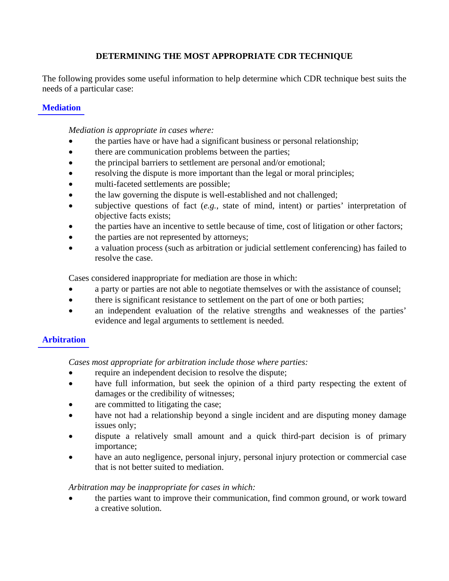# **DETERMINING THE MOST APPROPRIATE CDR TECHNIQUE**

The following provides some useful information to help determine which CDR technique best suits the needs of a particular case:

### **[Mediation](http://www.judiciary.state.nj.us/civil/medipol.htm)**

*Mediation is appropriate in cases where:* 

- the parties have or have had a significant business or personal relationship;
- there are communication problems between the parties;
- the principal barriers to settlement are personal and/or emotional;
- resolving the dispute is more important than the legal or moral principles;
- multi-faceted settlements are possible;
- the law governing the dispute is well-established and not challenged;
- subjective questions of fact (*e.g.*, state of mind, intent) or parties' interpretation of objective facts exists;
- the parties have an incentive to settle because of time, cost of litigation or other factors;
- the parties are not represented by attorneys;
- a valuation process (such as arbitration or judicial settlement conferencing) has failed to resolve the case.

Cases considered inappropriate for mediation are those in which:

- a party or parties are not able to negotiate themselves or with the assistance of counsel;
- there is significant resistance to settlement on the part of one or both parties;
- an independent evaluation of the relative strengths and weaknesses of the parties' evidence and legal arguments to settlement is needed.

# **[Arbitration](http://www.judiciary.state.nj.us/civil/arbipoli.htm)**

*Cases most appropriate for arbitration include those where parties:* 

- require an independent decision to resolve the dispute;
- have full information, but seek the opinion of a third party respecting the extent of damages or the credibility of witnesses;
- are committed to litigating the case;
- have not had a relationship beyond a single incident and are disputing money damage issues only;
- dispute a relatively small amount and a quick third-part decision is of primary importance;
- have an auto negligence, personal injury, personal injury protection or commercial case that is not better suited to mediation.

### *Arbitration may be inappropriate for cases in which:*

• the parties want to improve their communication, find common ground, or work toward a creative solution.